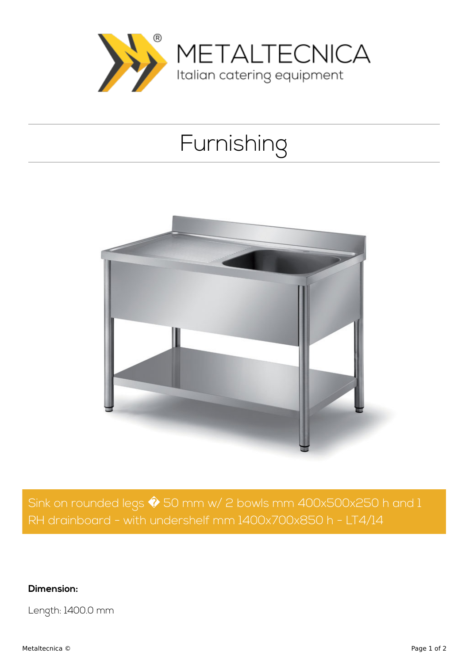

## Furnishing



Sink on rounded legs  $\hat{\blacklozenge}$  50 mm w/ 2 bowls mm 400x500x250 h and 1 RH drainboard - with undershelf mm 1400x700x850 h - LT4/14

**Dimension:**

Length: 1400.0 mm